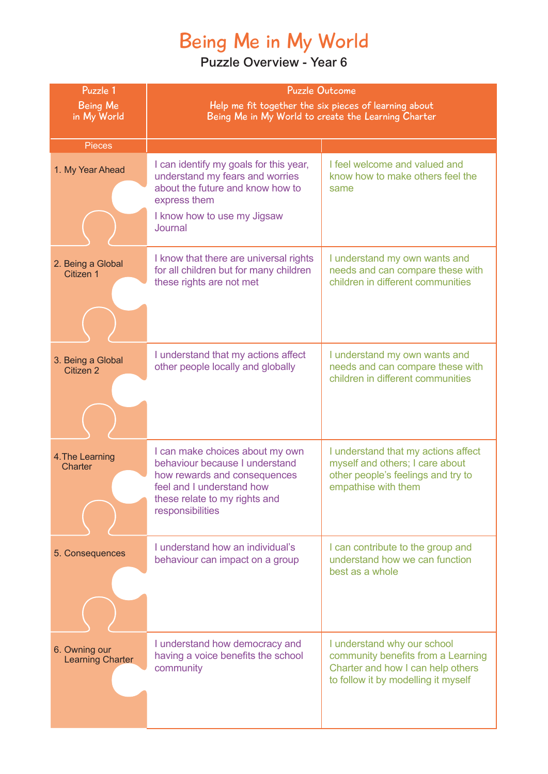# Being Me in My World

| Puzzle 1                                 | <b>Puzzle Outcome</b>                                                                                                                                                               |                                                                                                                                               |
|------------------------------------------|-------------------------------------------------------------------------------------------------------------------------------------------------------------------------------------|-----------------------------------------------------------------------------------------------------------------------------------------------|
| <b>Being Me</b><br>in My World           | Help me fit together the six pieces of learning about<br>Being Me in My World to create the Learning Charter                                                                        |                                                                                                                                               |
|                                          |                                                                                                                                                                                     |                                                                                                                                               |
| <b>Pieces</b>                            |                                                                                                                                                                                     |                                                                                                                                               |
| 1. My Year Ahead                         | I can identify my goals for this year,<br>understand my fears and worries<br>about the future and know how to<br>express them                                                       | I feel welcome and valued and<br>know how to make others feel the<br>same                                                                     |
|                                          | I know how to use my Jigsaw<br>Journal                                                                                                                                              |                                                                                                                                               |
| 2. Being a Global<br>Citizen 1           | I know that there are universal rights<br>for all children but for many children<br>these rights are not met                                                                        | I understand my own wants and<br>needs and can compare these with<br>children in different communities                                        |
|                                          |                                                                                                                                                                                     |                                                                                                                                               |
| 3. Being a Global<br>Citizen 2           | I understand that my actions affect<br>other people locally and globally                                                                                                            | I understand my own wants and<br>needs and can compare these with<br>children in different communities                                        |
|                                          |                                                                                                                                                                                     |                                                                                                                                               |
| 4. The Learning<br>Charter               | I can make choices about my own<br>behaviour because I understand<br>how rewards and consequences<br>feel and I understand how<br>these relate to my rights and<br>responsibilities | I understand that my actions affect<br>myself and others; I care about<br>other people's feelings and try to<br>empathise with them           |
| 5. Consequences                          | I understand how an individual's<br>behaviour can impact on a group                                                                                                                 | I can contribute to the group and<br>understand how we can function<br>best as a whole                                                        |
| 6. Owning our<br><b>Learning Charter</b> | I understand how democracy and<br>having a voice benefits the school<br>community                                                                                                   | I understand why our school<br>community benefits from a Learning<br>Charter and how I can help others<br>to follow it by modelling it myself |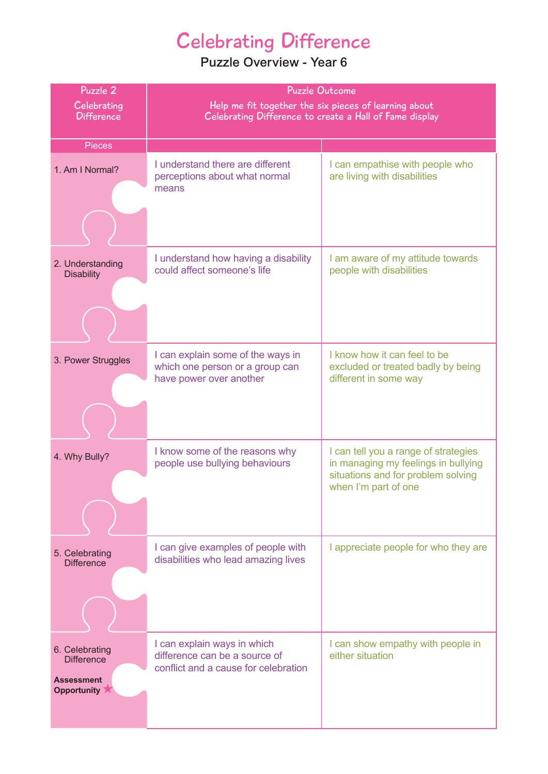# Celebrating Difference

| Puzzle 2                                | <b>Puzzle Outcome</b>                                                 |                                                                             |
|-----------------------------------------|-----------------------------------------------------------------------|-----------------------------------------------------------------------------|
| Celebrating                             | Help me fit together the six pieces of learning about                 |                                                                             |
| <b>Difference</b>                       | Celebrating Difference to create a Hall of Fame display               |                                                                             |
| <b>Pieces</b>                           |                                                                       |                                                                             |
|                                         | I understand there are different                                      | I can empathise with people who                                             |
| 1. Am I Normal?                         | perceptions about what normal                                         | are living with disabilities                                                |
|                                         | means                                                                 |                                                                             |
|                                         |                                                                       |                                                                             |
|                                         |                                                                       |                                                                             |
|                                         | I understand how having a disability                                  | I am aware of my attitude towards                                           |
| 2. Understanding<br><b>Disability</b>   | could affect someone's life                                           | people with disabilities                                                    |
|                                         |                                                                       |                                                                             |
|                                         |                                                                       |                                                                             |
|                                         |                                                                       |                                                                             |
|                                         |                                                                       |                                                                             |
| 3. Power Struggles                      | I can explain some of the ways in<br>which one person or a group can  | I know how it can feel to be<br>excluded or treated badly by being          |
|                                         | have power over another                                               | different in some way                                                       |
|                                         |                                                                       |                                                                             |
|                                         |                                                                       |                                                                             |
|                                         |                                                                       |                                                                             |
| 4. Why Bully?                           | I know some of the reasons why<br>people use bullying behaviours      | I can tell you a range of strategies<br>in managing my feelings in bullying |
|                                         |                                                                       | situations and for problem solving                                          |
|                                         |                                                                       | when I'm part of one                                                        |
|                                         |                                                                       |                                                                             |
|                                         |                                                                       |                                                                             |
| 5. Celebrating                          | I can give examples of people with                                    | I appreciate people for who they are                                        |
| <b>Difference</b>                       | disabilities who lead amazing lives                                   |                                                                             |
|                                         |                                                                       |                                                                             |
|                                         |                                                                       |                                                                             |
|                                         |                                                                       |                                                                             |
| 6. Celebrating                          | I can explain ways in which                                           | I can show empathy with people in                                           |
| <b>Difference</b>                       | difference can be a source of<br>conflict and a cause for celebration | either situation                                                            |
| <b>Assessment</b><br><b>Opportunity</b> |                                                                       |                                                                             |
|                                         |                                                                       |                                                                             |
|                                         |                                                                       |                                                                             |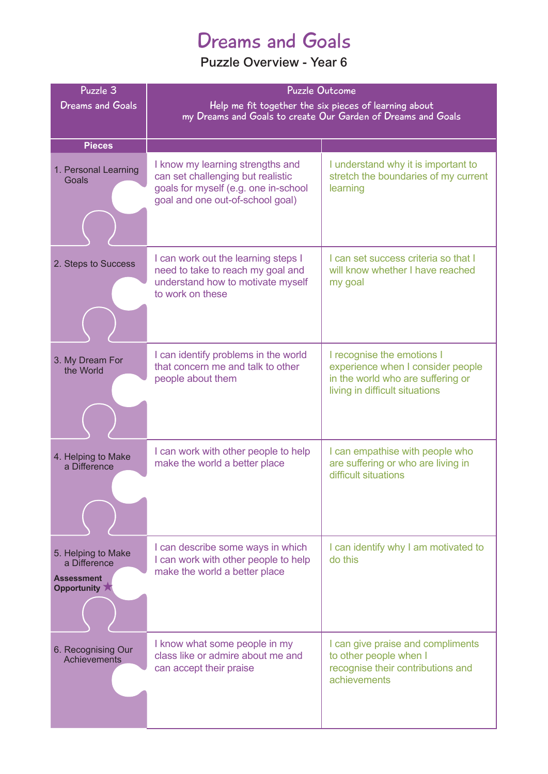## Dreams and Goals

| Puzzle 3<br><b>Dreams and Goals</b>                                    | <b>Puzzle Outcome</b><br>Help me fit together the six pieces of learning about<br>my Dreams and Goals to create Our Garden of Dreams and Goals    |                                                                                                                                        |
|------------------------------------------------------------------------|---------------------------------------------------------------------------------------------------------------------------------------------------|----------------------------------------------------------------------------------------------------------------------------------------|
| <b>Pieces</b>                                                          |                                                                                                                                                   |                                                                                                                                        |
| 1. Personal Learning<br>Goals                                          | I know my learning strengths and<br>can set challenging but realistic<br>goals for myself (e.g. one in-school<br>goal and one out-of-school goal) | I understand why it is important to<br>stretch the boundaries of my current<br>learning                                                |
| 2. Steps to Success                                                    | I can work out the learning steps I<br>need to take to reach my goal and<br>understand how to motivate myself<br>to work on these                 | I can set success criteria so that I<br>will know whether I have reached<br>my goal                                                    |
| 3. My Dream For<br>the World                                           | I can identify problems in the world<br>that concern me and talk to other<br>people about them                                                    | I recognise the emotions I<br>experience when I consider people<br>in the world who are suffering or<br>living in difficult situations |
| 4. Helping to Make<br>a Difference                                     | I can work with other people to help<br>make the world a better place                                                                             | I can empathise with people who<br>are suffering or who are living in<br>difficult situations                                          |
| 5. Helping to Make<br>a Difference<br><b>Assessment</b><br>Opportunity | I can describe some ways in which<br>I can work with other people to help<br>make the world a better place                                        | I can identify why I am motivated to<br>do this                                                                                        |
| 6. Recognising Our<br>Achievements                                     | I know what some people in my<br>class like or admire about me and<br>can accept their praise                                                     | I can give praise and compliments<br>to other people when I<br>recognise their contributions and<br>achievements                       |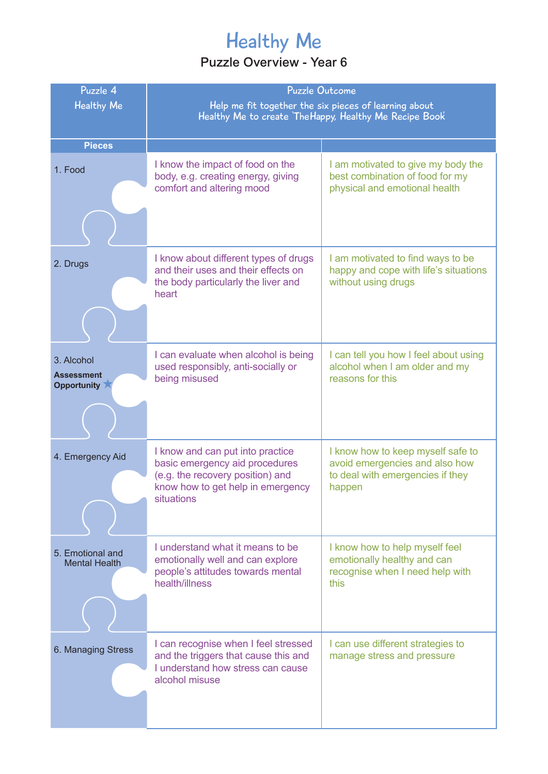# Healthy Me

| Puzzle 4<br><b>Healthy Me</b>                  | <b>Puzzle Outcome</b><br>Help me fit together the six pieces of learning about<br>Healthy Me to create The Happy, Healthy Me Recipe Book                  |                                                                                                                   |
|------------------------------------------------|-----------------------------------------------------------------------------------------------------------------------------------------------------------|-------------------------------------------------------------------------------------------------------------------|
| <b>Pieces</b>                                  |                                                                                                                                                           |                                                                                                                   |
| 1. Food                                        | I know the impact of food on the<br>body, e.g. creating energy, giving<br>comfort and altering mood                                                       | I am motivated to give my body the<br>best combination of food for my<br>physical and emotional health            |
| 2. Drugs                                       | I know about different types of drugs<br>and their uses and their effects on<br>the body particularly the liver and<br>heart                              | I am motivated to find ways to be<br>happy and cope with life's situations<br>without using drugs                 |
| 3. Alcohol<br><b>Assessment</b><br>Opportunity | I can evaluate when alcohol is being<br>used responsibly, anti-socially or<br>being misused                                                               | I can tell you how I feel about using<br>alcohol when I am older and my<br>reasons for this                       |
| 4. Emergency Aid                               | I know and can put into practice<br>basic emergency aid procedures<br>(e.g. the recovery position) and<br>know how to get help in emergency<br>situations | I know how to keep myself safe to<br>avoid emergencies and also how<br>to deal with emergencies if they<br>happen |
| 5. Emotional and<br><b>Mental Health</b>       | I understand what it means to be<br>emotionally well and can explore<br>people's attitudes towards mental<br>health/illness                               | I know how to help myself feel<br>emotionally healthy and can<br>recognise when I need help with<br>this          |
| 6. Managing Stress                             | I can recognise when I feel stressed<br>and the triggers that cause this and<br>I understand how stress can cause<br>alcohol misuse                       | I can use different strategies to<br>manage stress and pressure                                                   |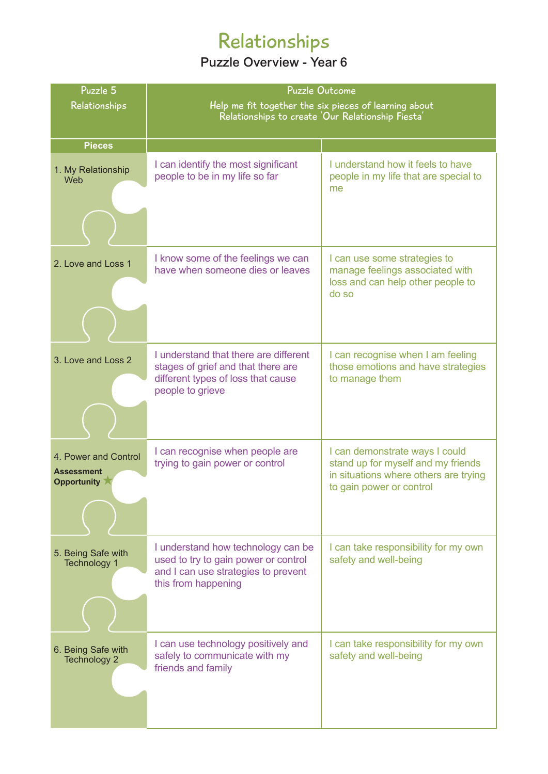# Relationships

| Puzzle 5                                                 | <b>Puzzle Outcome</b>                                                                                                                    |                                                                                                                                           |  |
|----------------------------------------------------------|------------------------------------------------------------------------------------------------------------------------------------------|-------------------------------------------------------------------------------------------------------------------------------------------|--|
| Relationships                                            | Help me fit together the six pieces of learning about                                                                                    |                                                                                                                                           |  |
|                                                          | Relationships to create 'Our Relationship Fiesta'                                                                                        |                                                                                                                                           |  |
| <b>Pieces</b>                                            |                                                                                                                                          |                                                                                                                                           |  |
| 1. My Relationship<br>Web                                | I can identify the most significant<br>people to be in my life so far                                                                    | I understand how it feels to have<br>people in my life that are special to<br>me                                                          |  |
|                                                          |                                                                                                                                          |                                                                                                                                           |  |
| 2. Love and Loss 1                                       | I know some of the feelings we can<br>have when someone dies or leaves                                                                   | I can use some strategies to<br>manage feelings associated with<br>loss and can help other people to<br>do so                             |  |
| 3. Love and Loss 2                                       | I understand that there are different<br>stages of grief and that there are<br>different types of loss that cause<br>people to grieve    | I can recognise when I am feeling<br>those emotions and have strategies<br>to manage them                                                 |  |
| 4. Power and Control<br><b>Assessment</b><br>Opportunity | I can recognise when people are<br>trying to gain power or control                                                                       | I can demonstrate ways I could<br>stand up for myself and my friends<br>in situations where others are trying<br>to gain power or control |  |
| 5. Being Safe with<br>Technology 1                       | I understand how technology can be<br>used to try to gain power or control<br>and I can use strategies to prevent<br>this from happening | I can take responsibility for my own<br>safety and well-being                                                                             |  |
| 6. Being Safe with<br><b>Technology 2</b>                | I can use technology positively and<br>safely to communicate with my<br>friends and family                                               | I can take responsibility for my own<br>safety and well-being                                                                             |  |